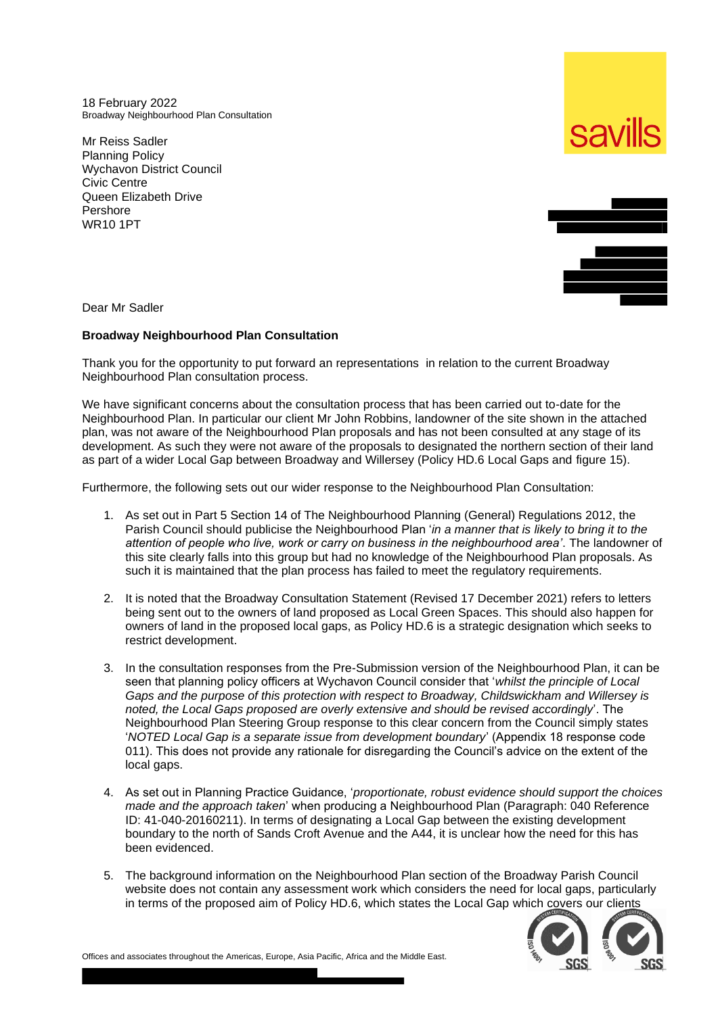18 February 2022 Broadway Neighbourhood Plan Consultation

Mr Reiss Sadler Planning Policy Wychavon District Council Civic Centre Queen Elizabeth Drive Pershore WR10 1PT





Dear Mr Sadler

## **Broadway Neighbourhood Plan Consultation**

Thank you for the opportunity to put forward an representations in relation to the current Broadway Neighbourhood Plan consultation process.

We have significant concerns about the consultation process that has been carried out to-date for the Neighbourhood Plan. In particular our client Mr John Robbins, landowner of the site shown in the attached plan, was not aware of the Neighbourhood Plan proposals and has not been consulted at any stage of its development. As such they were not aware of the proposals to designated the northern section of their land as part of a wider Local Gap between Broadway and Willersey (Policy HD.6 Local Gaps and figure 15).

Furthermore, the following sets out our wider response to the Neighbourhood Plan Consultation:

- 1. As set out in Part 5 Section 14 of The Neighbourhood Planning (General) Regulations 2012, the Parish Council should publicise the Neighbourhood Plan '*in a manner that is likely to bring it to the attention of people who live, work or carry on business in the neighbourhood area'*. The landowner of this site clearly falls into this group but had no knowledge of the Neighbourhood Plan proposals. As such it is maintained that the plan process has failed to meet the regulatory requirements.
- 2. It is noted that the Broadway Consultation Statement (Revised 17 December 2021) refers to letters being sent out to the owners of land proposed as Local Green Spaces. This should also happen for owners of land in the proposed local gaps, as Policy HD.6 is a strategic designation which seeks to restrict development.
- 3. In the consultation responses from the Pre-Submission version of the Neighbourhood Plan, it can be seen that planning policy officers at Wychavon Council consider that '*whilst the principle of Local Gaps and the purpose of this protection with respect to Broadway, Childswickham and Willersey is noted, the Local Gaps proposed are overly extensive and should be revised accordingly*'. The Neighbourhood Plan Steering Group response to this clear concern from the Council simply states '*NOTED Local Gap is a separate issue from development boundary*' (Appendix 18 response code 011). This does not provide any rationale for disregarding the Council's advice on the extent of the local gaps.
- 4. As set out in Planning Practice Guidance, '*proportionate, robust evidence should support the choices made and the approach taken*' when producing a Neighbourhood Plan (Paragraph: 040 Reference ID: 41-040-20160211). In terms of designating a Local Gap between the existing development boundary to the north of Sands Croft Avenue and the A44, it is unclear how the need for this has been evidenced.
- 5. The background information on the Neighbourhood Plan section of the Broadway Parish Council website does not contain any assessment work which considers the need for local gaps, particularly in terms of the proposed aim of Policy HD.6, which states the Local Gap which covers our clients



Offices and associates throughout the Americas, Europe, Asia Pacific, Africa and the Middle East.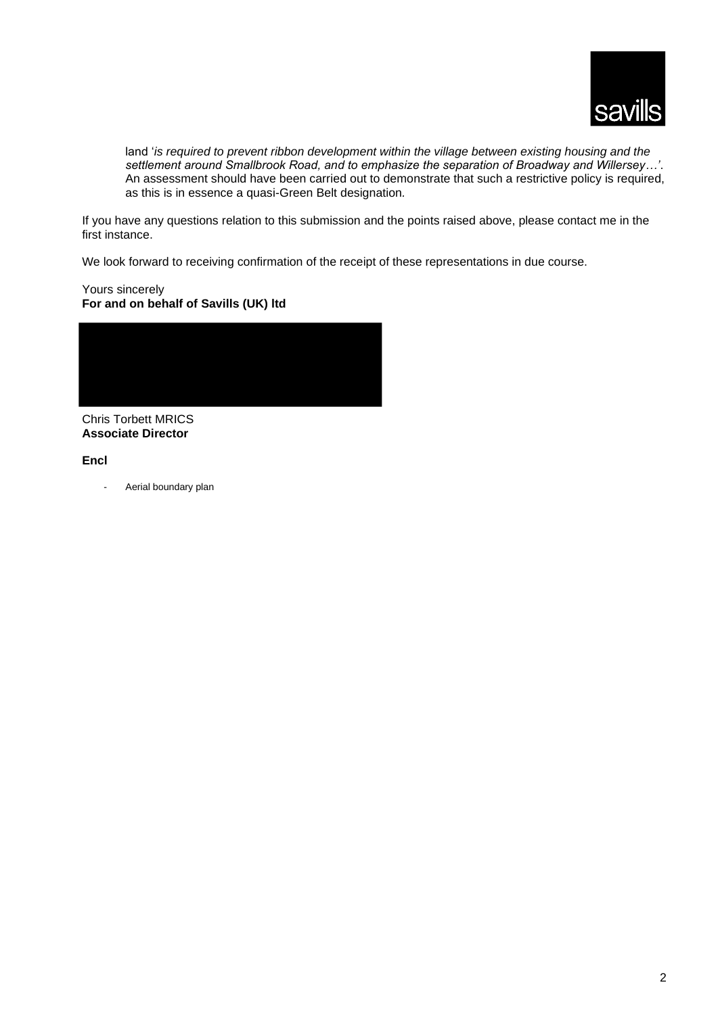

land '*is required to prevent ribbon development within the village between existing housing and the settlement around Smallbrook Road, and to emphasize the separation of Broadway and Willersey…'*. An assessment should have been carried out to demonstrate that such a restrictive policy is required, as this is in essence a quasi-Green Belt designation*.*

If you have any questions relation to this submission and the points raised above, please contact me in the first instance.

We look forward to receiving confirmation of the receipt of these representations in due course.

Yours sincerely **For and on behalf of Savills (UK) ltd**



Chris Torbett MRICS **Associate Director**

## **Encl**

Aerial boundary plan